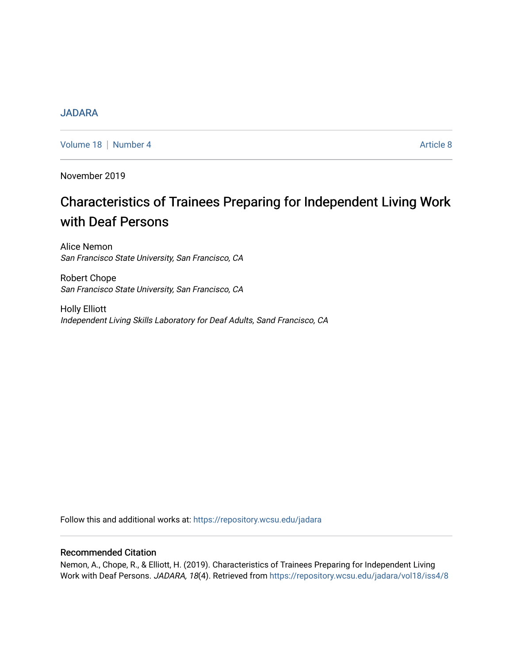# [JADARA](https://repository.wcsu.edu/jadara)

[Volume 18](https://repository.wcsu.edu/jadara/vol18) | [Number 4](https://repository.wcsu.edu/jadara/vol18/iss4) Article 8

November 2019

# Characteristics of Trainees Preparing for Independent Living Work with Deaf Persons

Alice Nemon San Francisco State University, San Francisco, CA

Robert Chope San Francisco State University, San Francisco, CA

Holly Elliott Independent Living Skills Laboratory for Deaf Adults, Sand Francisco, CA

Follow this and additional works at: [https://repository.wcsu.edu/jadara](https://repository.wcsu.edu/jadara?utm_source=repository.wcsu.edu%2Fjadara%2Fvol18%2Fiss4%2F8&utm_medium=PDF&utm_campaign=PDFCoverPages)

# Recommended Citation

Nemon, A., Chope, R., & Elliott, H. (2019). Characteristics of Trainees Preparing for Independent Living Work with Deaf Persons. JADARA, 18(4). Retrieved from [https://repository.wcsu.edu/jadara/vol18/iss4/8](https://repository.wcsu.edu/jadara/vol18/iss4/8?utm_source=repository.wcsu.edu%2Fjadara%2Fvol18%2Fiss4%2F8&utm_medium=PDF&utm_campaign=PDFCoverPages)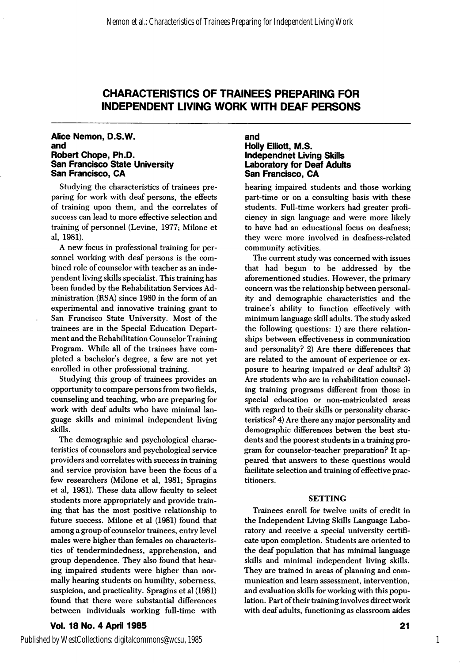# CHARACTERISTICS OF TRAINEES PREPARING FOR INDEPENDENT LIVING WORK WITH DEAF PERSONS

#### Alice Nemon, D.S.W. and Robert Chope, Ph.D. San Francisco State University San Francisco, CA

Studying the characteristics of trainees pre paring for work with deaf persons, the effects of training upon them, and the correlates of success can lead to more effective selection and training of personnel (Levine, 1977; Milone et al, 1981).

A new focus in professional training for per sonnel working with deaf persons is the com bined role of counselor with teacher as an inde pendent living skills specialist. This training has been funded by the Rehabilitation Services Ad ministration (RSA) since 1980 in the form of an experimental and innovative training grant to San Francisco State University. Most of the trainees are in the Special Education Depart ment and the Rehabilitation Counselor Training Program. While all of the trainees have com pleted a bachelor's degree, a few are not yet enrolled in other professional training.

Studying this group of trainees provides an opportunity to compare persons from two fields, counseling and teaching, who are preparing for work with deaf adults who have minimal lan guage skills and minimal independent living skills.

The demographic and psychological charac teristics of counselors and psychological service providers and correlates with success in training and service provision have been the focus of a few researchers (Milone et al, 1981; Spragins et al, 1981). These data allow faculty to select students more appropriately and provide train ing that has the most positive relationship to future success. Milone et al (1981) found that among a group of counselor trainees, entry level males were higher than females on characteris tics of tendermindedness, apprehension, and group dependence. They also found that hear ing impaired students were higher than nor mally hearing students on humility, soberness, suspicion, and practicality. Spragins et al (1981) found that there were substantial differences between individuals working full-time with

# Vol. 18 No. 4 April 1985

#### and Holly Elliott, M.S. independnet Living Skills Laboratory for Deaf Adults San Francisco, CA

hearing impaired students and those working part-time or on a consulting basis with these students. Full-time workers had greater profi ciency in sign language and were more likely to have had an educational focus on deafness; they were more involved in deafness-related community activities.

The current study was concerned with issues that had begun to be addressed by the aforementioned studies. However, the primary concern was the relationship between personal ity and demographic characteristics and the trainee's ability to function effectively with minimum language skill adults. The study asked the following questions: 1) are there relation ships between effectiveness in communication and personality? 2) Are there differences that are related to the amount of experience or ex posure to hearing impaired or deaf adults? 3) Are students who are in rehabilitation counsel ing training programs different from those in special education or non-matriculated areas with regard to their skills or personality charac teristics? 4) Are there any major personality and demographic differences betwen the best stu dents and the poorest students in a training pro gram for counselor-teacher preparation? It ap peared that answers to these questions would facilitate selection and training of effective prac titioners.

# SETTING

Trainees enroll for twelve units of credit in the Independent Living Skills Language Labo ratory and receive a special university certifi cate upon completion. Students are oriented to the deaf population that has minimal language skills and minimal independent living skills. They are trained in areas of planning and com munication and leam assessment, intervention, and evaluation skills for working with this popu lation. Fart of their training involves direct work with deaf adults, functioning as classroom aides

1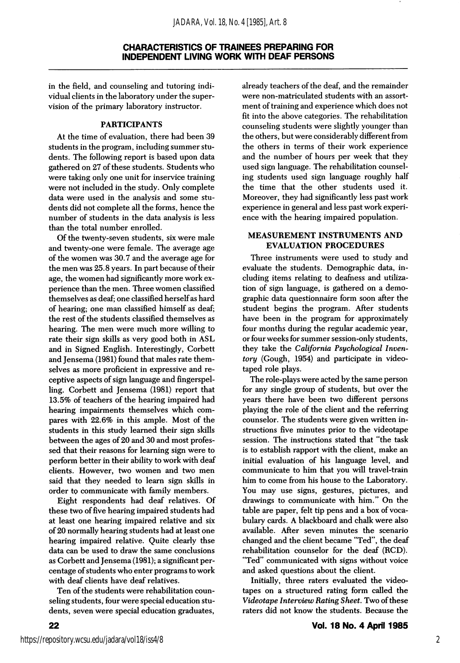in the field, and counseling and tutoring indi vidual clients in the laboratory under the super vision of the primary laboratory instructor.

# PARTICIPANTS

At the time of evaluation, there had been 39 students in the program, including summer stu dents. The following report is based upon data gathered on 27 of these students. Students who were taking only one unit for inservice training were not included in the study. Only complete data were used in the analysis and some stu dents did not complete all the forms, hence the number of students in the data analysis is less than the total number enrolled.

Of the twenty-seven students, six were male and twenty-one were female. The average age of the women was 30.7 and the average age for the men was 25.8 years. In part because of their age, the women had significantly more work ex perience than the men. Three women classified themselves as deaf; one classified herself as hard of hearing; one man classified himself as deaf; the rest of the students classified themselves as hearing. The men were much more willing to rate their sign skills as very good both in ASL and in Signed English. Interestingly, Corbett and Jensema (1981) found that males rate them selves as more proficient in expressive and re ceptive aspects of sign language and fingerspelling. Corbett and Jensema (1981) report that 13.5% of teachers of the hearing impaired had hearing impairments themselves which com pares with 22.6% in this ample. Most of the students in this study learned their sign skills between the ages of 20 and 30 and most profes sed that their reasons for learning sign were to perform better in their ability to work with deaf clients. However, two women and two men said that they needed to learn sign skills in order to communicate with family members.

Eight respondents had deaf relatives. Of these two of five hearing impaired students had at least one hearing impaired relative and six of 20 normally hearing students had at least one hearing impaired relative. Quite clearly thse data can be used to draw the same conclusions as Corbett and Jensema (1981); a significant per centage of students who enter programs to work with deaf clients have deaf relatives.

Ten of the students were rehabilitation coun seling students, four were special education stu dents, seven were special education graduates,

already teachers of the deaf, and the remainder were non-matriculated students with an assort ment of training and experience which does not fit into the above categories. The rehabilitation counseling students were slightly younger than the others, but were considerably different from the others in terms of their work experience and the number of hours per week that they used sign language. The rehabilitation counsel ing students used sign language roughly half the time that the other students used it. Moreover, they had significantly less past work experience in general and less past work experi ence with the hearing impaired population.

#### MEASUREMENT INSTRUMENTS AND EVALUATION PROCEDURES

Three instruments were used to study and evaluate the students. Demographic data, in cluding items relating to deafness and utiliza tion of sign language, is gathered on a demo graphic data questionnaire form soon after the student begins the program. After students have been in the program for approximately four months during the regular academic year, or four weeks for summer session-only students, they take the California Psychological Inven tory (Gough, 1954) and participate in video taped role plays.

The role-plays were acted by the same person for any single group of students, but over the years there have been two different persons playing the role of the client and the referring counselor. The students were given written in structions five minutes prior to the videotape session. The instructions stated that "the task is to establish rapport with the client, make an initial evaluation of his language level, and communicate to him that you will travel-train him to come from his house to the Laboratory. You may use signs, gestures, pictures, and drawings to communicate with him." On the table are paper, felt tip pens and a box of voca bulary cards. A blackboard and chalk were also available. After seven minutes the scenario changed and the client became "Ted", the deaf rehabilitation counselor for the deaf (RCD). "Ted" communicated with signs without voice and asked questions about the client.

Initially, three raters evaluated the video tapes on a structured rating form called the Videotape Interview Rating Sheet. Two of these raters did not know the students. Because the

22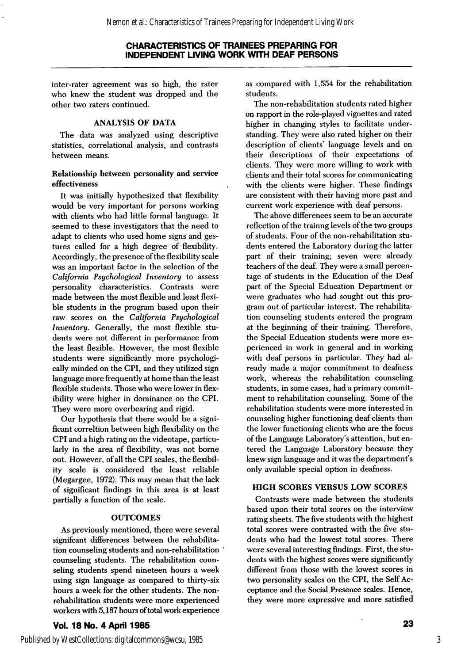# CHARACTERISTICS OF TRAINEES PREPARING FOR INDEPENDENT LIVING WORK WITH DEAF PERSONS

inter-rater agreement was so high, the rater who knew the student was dropped and the other two raters continued.

# ANALYSIS OF DATA

The data was analyzed using descriptive statistics, correlational analysis, and contrasts between means.

#### Relationship between personality and service effectiveness

It was initially hypothesized that flexibility would be very important for persons working with clients who had little formal language. It seemed to these investigators that the need to adapt to clients who used home signs and ges tures called for a high degree of flexibility. Accordingly, the presence of the flexibility scale was an important factor in the selection of the California Psychological Inventory to assess personality characteristics. Contrasts were made between the most flexible and least flexi ble students in the program based upon their raw scores on the California Psychological Inventory. Generally, the most flexible stu dents were not different in performance from the least flexible. However, the most flexible students were significantly more psychologi cally minded on the CPI, and they utilized sign language more frequently at home than the least flexible students. Those who were lower in flex ibility were higher in dominance on the CPI. They were more overbearing and rigid.

Our hypothesis that there would be a signi ficant correltion between high flexibility on the CPI and a high rating on the videotape, particu larly in the area of flexibility, was not borne out. However, of all the CPI scales, the flexibil ity scale is considered the least reliable (Megargee, 1972). This may mean that the lack of significant findings in this area is at least partially a function of the scale.

# **OUTCOMES**

As previously mentioned, there were several significant differences between the rehabilitation counseling students and non-rehabilitation counseling students. The rehabilitation coun seling students spend nineteen hours a week using sign language as compared to thirty-six hours a week for the other students. The nonrehabilitation students were more experienced workers with 5,187 hours of total work experience

Vol. 18 No. 4 April 1985

as compared with 1,554 for the rehabilitation students.

The non-rehabilitation students rated higher on rapport in the role-played vignettes and rated higher in changing styles to facilitate under standing. They were also rated higher on their description of clients' language levels and on their descriptions of their expectations of clients. They were more willing to work with clients and their total scores for communicating with the clients were higher. These findings are consistent with their having more past and current work experience with deaf persons.

The above differences seem to be an accurate reflection of the trainng levels of the two groups of students. Four of the non-rehabilitation stu dents entered the Laboratory during the latter part of their training; seven were already teachers of the deaf. They were a small percen tage of students in the Education of the Deaf part of the Special Education Department or were graduates who had sought out this pro gram out of particular interest. The rehabilita tion counseling students entered the program at the beginning of their training. Therefore, the Special Education students were more ex perienced in work in general and in working with deaf persons in particular. They had al ready made a major commitment to deafness work, whereas the rehabilitation counseling students, in some cases, had a primary commit ment to rehabilitation counseling. Some of the rehabilitation students were more interested in counseling higher functioning deaf clients than the lower functioning clients who are the focus of the Language Laboratory's attention, but en tered the Language Laboratory because they knew sign language and it was the department's only available special option in deafness.

# HIGH SCORES VERSUS LOW SCORES

Contrasts were made between the students based upon their total scores on the interview rating sheets. The five students with the highest total scores were contrasted with the five stu dents who had the lowest total scores. There were several interesting findings. First, the stu dents with the highest scores were significantly different from those with the lowest scores in two personality scales on the CPI, the Self Ac ceptance and the Social Presence scales. Hence, they were more expressive and more satisfied